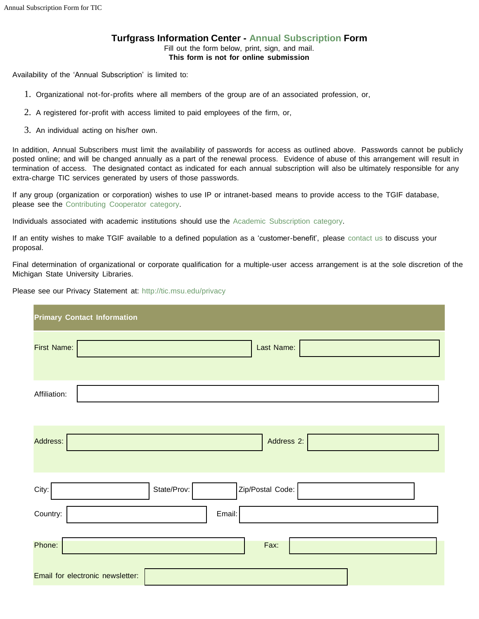## **Turfgrass Information Center - Annual [Subscription](http://tic.msu.edu/annual) Form** Fill out the form below, print, sign, and mail.

**This form is not for online submission**

Availability of the 'Annual Subscription' is limited to:

- 1. Organizational not-for-profits where all members of the group are of an associated profession, or,
- 2. A registered for-profit with access limited to paid employees of the firm, or,
- 3. An individual acting on his/her own.

In addition, Annual Subscribers must limit the availability of passwords for access as outlined above. Passwords cannot be publicly posted online; and will be changed annually as a part of the renewal process. Evidence of abuse of this arrangement will result in termination of access. The designated contact as indicated for each annual subscription will also be ultimately responsible for any extra-charge TIC services generated by users of those passwords.

If any group (organization or corporation) wishes to use IP or intranet-based means to provide access to the TGIF database, please see the [Contributing](http://tic.msu.edu/cooperator) Cooperator category.

Individuals associated with academic institutions should use the Academic [Subscription](http://tic.msu.edu/academic) category.

If an entity wishes to make TGIF available to a defined population as a 'customer-benefit', please [contact](mailto:tgif@msu.edu?subject=TGIF%20Annual%20Subscription) us to discuss your proposal.

Final determination of organizational or corporate qualification for a multiple-user access arrangement is at the sole discretion of the Michigan State University Libraries.

Please see our Privacy Statement at: http://tic.msu.edu/privacy

| <b>Primary Contact Information</b>       |
|------------------------------------------|
| First Name:<br>Last Name:                |
| Affiliation:                             |
| Address 2:<br>Address:                   |
| State/Prov:<br>Zip/Postal Code:<br>City: |
| Country:<br>Email:                       |
| Phone:<br>Fax:                           |
| Email for electronic newsletter:         |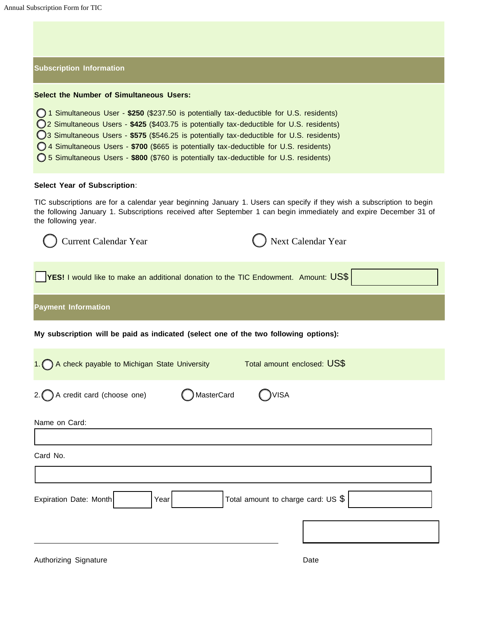## **Subscription Information Select the Number of Simultaneous Users:** 1 Simultaneous User - **\$250** (\$237.50 is potentially tax-deductible for U.S. residents) 2 Simultaneous Users - **\$425** (\$403.75 is potentially tax-deductible for U.S. residents) 3 Simultaneous Users - **\$575** (\$546.25 is potentially tax-deductible for U.S. residents) 4 Simultaneous Users - **\$700** (\$665 is potentially tax-deductible for U.S. residents) 5 Simultaneous Users - **\$800** (\$760 is potentially tax-deductible for U.S. residents)

## **Select Year of Subscription**:

TIC subscriptions are for a calendar year beginning January 1. Users can specify if they wish a subscription to begin the following January 1. Subscriptions received after September 1 can begin immediately and expire December 31 of the following year.

| <b>Current Calendar Year</b>                                                                | Next Calendar Year                  |
|---------------------------------------------------------------------------------------------|-------------------------------------|
| <b>YES!</b> I would like to make an additional donation to the TIC Endowment. Amount: $US\$ |                                     |
| <b>Payment Information</b>                                                                  |                                     |
| My subscription will be paid as indicated (select one of the two following options):        |                                     |
| 1. A check payable to Michigan State University                                             | Total amount enclosed: US\$         |
| 2. $\bigcap$ A credit card (choose one)                                                     | MasterCard<br>)VISA                 |
| Name on Card:                                                                               |                                     |
| Card No.                                                                                    |                                     |
| Expiration Date: Month<br>Year                                                              | Total amount to charge card: US $$$ |
|                                                                                             |                                     |
|                                                                                             |                                     |